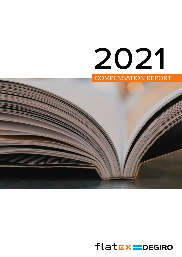# 2021



# $flat$ Ex=DEGIRO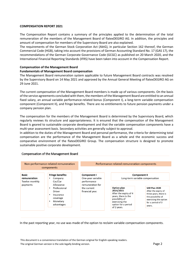#### **COMPENSATION REPORT 2021**

The Compensation Report contains a summary of the principles applied to the determination of the total remuneration of the members of the Management Board of flatexDEGIRO AG. In addition, the principles and amount of compensation for members of the Supervisory Board are also explained.

The requirements of the German Stock Corporation Act (AktG), in particular Section 162 thereof, the German Commercial Code (HGB), taking into account the provisions of German Accounting Standard No. 17 (GAS 17), the recommendations of the German Corporate Governance Code (GCGC) as published on 20 March 2020, and the International Financial Reporting Standards (IFRS) have been taken into account in the Compensation Report.

# **Compensation of the Management Board**

#### **Fundamentals of Management Board compensation**

The Management Board remuneration system applicable to future Management Board contracts was resolved by the Supervisory Board on 14 May 2021 and approved by the Annual General Meeting of flatexDEGIRO AG on 29 June 2021.

The current compensation of the Management Board members is made up of various components. On the basis of the service agreements concluded with them, the members of the Management Board are entitled to an annual fixed salary, an annual variable performance-related bonus (Component I), a long-term variable compensation component (Component II), and fringe benefits. There are no entitlements to future pension payments under a company pension plan.

The compensation for the members of the Management Board is determined by the Supervisory Board, which regularly reviews its structure and appropriateness. It is ensured that the compensation of the Management Board is geared to sustainable corporate development and that the variable compensation components have a multi-year assessment basis. Secondary activities are generally subject to approval.

In addition to the duties of the Management Board and personal performance, the criteria for determining total compensation are the performance of the Management Board as a whole and the economic success and comparative environment of the flatexDEGIRO Group. The compensation structure is designed to promote sustainable positive corporate development.

| Non-performance-related remuneration<br>components         |                                                                                                                                                                                             |                                                                   | Performance-related remuneration components                                                                                                        |                                                                                                                                             |  |  |  |
|------------------------------------------------------------|---------------------------------------------------------------------------------------------------------------------------------------------------------------------------------------------|-------------------------------------------------------------------|----------------------------------------------------------------------------------------------------------------------------------------------------|---------------------------------------------------------------------------------------------------------------------------------------------|--|--|--|
| <b>Basic</b><br>remuneration<br>Twelve monthly<br>payments | <b>Fringe benefits:</b><br>Company<br>$\bullet$<br>Car/Car<br>Allowance<br>Professional<br>$\bullet$<br>Driver<br>Insurance<br>$\bullet$<br>coverage<br>Monetary<br>$\bullet$<br>advantages | Component I<br>One-year variable                                  | Component II<br>Long-term variable compensation                                                                                                    |                                                                                                                                             |  |  |  |
|                                                            |                                                                                                                                                                                             | performance<br>remuneration for<br>the current<br>financial year. | Option plan<br>2014/2015<br>After the expiry of 4<br>years, there is the<br>possibility of<br>exercising the<br>option for a period<br>of 2 years. | SAR Plan 2020<br>After the expiry of<br>three years, there is<br>the possibility of<br>exercising the option<br>for a period of 3<br>years. |  |  |  |

#### **Compensation of the Management Board**

In the past reporting year, no use was made of the option to reclaim variable compensation components.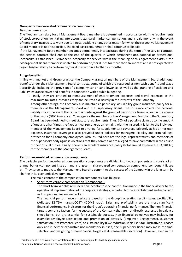#### **Non-performance-related remuneration components**

#### **Basic remuneration**

The fixed annual salary for all Management Board members is determined in accordance with the requirements of stock corporation law, taking into account standard market compensation, and is paid monthly. In the event of temporary incapacity to work due to illness, accident or any other reason for which the respective Management Board member is not responsible, the fixed basic remuneration shall continue to be paid.

If the Management Board member becomes permanently incapacitated during the term of the service contract, the service contract shall end at the end of the quarter in which permanent occupational or professional incapacity is established. Permanent incapacity for service within the meaning of this agreement exists if the Management Board member is unable to perform his/her duties for more than six months and is not expected to regain his/her ability to perform his/her duties within a further six months.

#### **Fringe benefits:**

In line with market and Group practice, the Company grants all members of the Management Board additional benefits under their Management Board contracts, some of which are regarded as non-cash benefits and taxed accordingly, including the provision of a company car or car allowance, as well as the granting of accident and liability insurance cover and benefits in connection with double budgeting.

I. Finally, they are entitled to reimbursement of entertainment expenses and travel expenses at the maximum tax rates insofar as they are incurred exclusively in the interests of the Company.

Among other things, the Company also maintains a pecuniary loss liability group insurance policy for all members of the Management Board and the Supervisory Board. The insurance covers the personal liability risk in the event that a claim is made against the group of persons for financial loss in the course of their work (D&O insurance). Coverage for the members of the Management Board and the Supervisory Board has been designed to meet statutory requirements. Thus, 10% of a possible claim up to the amount of one and a half times the fixed annual remuneration remains with the insured. It is left to the individual member of the Management Board to arrange for supplementary coverage privately at his or her own expense. Insurance coverage is also provided under policies for managerial liability and criminal legal protection for all company employees. Also insured here are the legal representatives and members of the supervisory body against violations that they commit or are alleged to have committed in the course of their official duties. Finally, there is an accident insurance policy (total annual expense EUR 3,048.40) for the members of the Management Board.

#### **Performance-related remuneration components**

The variable, performance-based compensation components are divided into two components and consist of an annual bonus (component I, see a.) and a long-term, share-based compensation component (component II, see b.). They serve to motivate the Management Board to commit to the success of the Company in the long term by sharing in its economic development.

The main content of the compensation components is as follows:

a. Short-term variable compensation (Component I)

The short-term variable remuneration incentivizes the contribution made in the financial year to the operational implementation of the corporate strategy, in particular the establishment and expansion as Europe's leading online broker.

The financial performance criteria are based on the Group's operating result - sales, profitability (Adjusted EBITDA margin/COST-INCOME ratio). Sales and profitability are the most significant financial performance indicators for the Group's operating financial performance. The non-financial targets comprise factors for the success of the Company that are not directly expressed in balance sheet items, but are essential for sustainable success. Non-financial objectives may include, for example: Employee satisfaction and promotion of diversity (Employee Engagement), customer satisfaction (Net Promoter Score) or sustainability (CO2 reduction) (this list is for illustrative purposes only and is neither exhaustive nor mandatory in itself; the Supervisory Board may make the final selection and weighting of non-financial targets at its reasonable discretion). However, even in the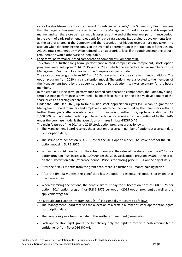case of a short-term incentive component "non-financial targets," the Supervisory Board ensures that the target achievements are explained to the Management Board in a clear and transparent manner and can therefore be meaningfully assessed at the end of the one-year performance period. In the event of early retirement, rules apply for a pro rata payout. Extraordinary developments (such as the sale of shares in the Company and the recognition of hidden reserves) are not taken into account when determining the bonus. In the event of a deterioration in the situation of flatexDEGIRO AG, the total remuneration may be reduced to an appropriate level if the continued granting of such remuneration would otherwise be inequitable.

b. Long-term, performance-based compensation component (Component II)

To establish a further long-term, performance-related compensation component, stock option programs were set up in 2014, 2015 and 2020 in which the respective active members of the Management Board and key people of the Company can participate.

The stock option programs from 2014 and 2015 have essentially the same terms and conditions. The option program from 2020 is a virtual option model. The options were allocated to the members of the Management Board by the Supervisory Board. Participation itself was voluntary for the board members.

In the case of all long-term, performance-related compensation components, the Company's longterm business performance is rewarded. The main focus here is on the positive development of the share price and earnings per share.

Under the SARs Plan 2020, up to four million stock appreciation rights (SARs) can be granted to Management Board members and employees, which can be exercised by the beneficiary within a further three years after a waiting period of three years. Furthermore, up to an additional SAR 1,600,000 can be granted under a purchase model. A prerequisite for the granting of further SARs under the purchase model is the acquisition of shares in flatexDEGIRO AG.

The main features of the 2014 and 2015 stock option programs are as follows:

- The Management Board receives the allocation of a certain number of options at a certain date (subscription date)
- The strike price per option is EUR 1.825 for the 2014 option model. The strike price for the 2015 option model is EUR 3.1975.
- Within the first 24 months from the subscription date, the value of the share under the 2014 stock option program must increase by 100%/under the 2015 stock option program by 50% at the price on the subscription date (reference period). Price is the closing price XETRA on the day of issue.
- After the first 24 months from the grant date, there is a further 24 month holding period
- After the first 48 months, the beneficiary has the option to exercise his options, provided that they have arisen
- When exercising the options, the beneficiary must pay the subscription price of EUR 1.825 per option (2014 option program) or EUR 3.1975 per option (2015 option program) as well as the applicable wage tax

The (virtual) Stock Option Program 2020 (SAR) is essentially structured as follows:

- The Management Board receives the allocation of a certain number of stock appreciation rights (subscription date)
- The term is six years from the date of the written commitment (issue date)
- Each appreciation right grants the beneficiary only the right to receive a cash amount (cash entitlement) from flatexDEGIRO AG.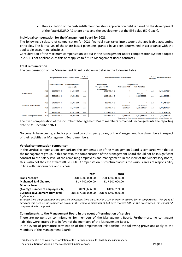• The calculation of the cash entitlement per stock appreciation right is based on the development of the flatexDEGIRO AG share price and the development of the EPS value (50% each).

#### **Individual compensation for the Management Board for 2021**

The following disclosure of compensation for 2021 financial year takes into account the applicable accounting principles. The fair values of the share-based payments granted have been determined in accordance with the applicable accounting principles.

Consideration of the maximum compensation set out in the Management Board compensation system adopted in 2021 is not applicable, as this only applies to future Management Board contracts.

#### **Total remuneration**

The compensation of the Management Board is shown in detail in the following table:

|                                 |      | Non-performance-related remuneration |                                                      | as % of total<br>remuneration | <b>Performance-related remuneration</b>        |                               |                                                                                                                 | as % of total<br>remuneration | <b>Total remuneration</b> |
|---------------------------------|------|--------------------------------------|------------------------------------------------------|-------------------------------|------------------------------------------------|-------------------------------|-----------------------------------------------------------------------------------------------------------------|-------------------------------|---------------------------|
|                                 |      |                                      | Annual fixed salary Other remuneration<br>components |                               | <b>Component I</b><br><b>One-vear variable</b> | Option plan 2015              | <b>Component II*</b><br>SAR Plan 2020                                                                           |                               |                           |
|                                 | 2021 | 500,000.00€                          | 24,650.00€                                           | 34.4%                         | compensation<br>1,000,000.00 €                 | €                             | $ \epsilon$                                                                                                     | 65.6%                         | 1,524,650.00 €            |
| <b>Frank Niehage</b>            | 2020 | 500,000.00€                          | 27,500.00€                                           | 11.0%                         | 1,000,000.00 €                                 | €<br>$\overline{\phantom{a}}$ | 1,080,000 pieces<br>3,286,966.00€                                                                               | 89.0%                         | 4,814,466.00€             |
| <b>Muhamad Said Chahrour</b>    | 2021 | 240,000.00€                          | 22,725,00€                                           | 34.4%                         | 500,000.00€                                    | - €<br>10,000 pieces          | $ \epsilon$<br>680,000 pieces                                                                                   | 65.6%                         | 762,725.00€               |
|                                 | 2020 | 200,000.00€                          | 22,500.00€                                           | 8.2%                          | 300,000.00€                                    | 58,900.00€                    | 2,126,813.00€                                                                                                   | 91.8%                         | 2,708,213.00 €            |
|                                 | 2021 | 740,000.00€                          | 47,375,00€                                           | 34.4%                         | 1,500,000.00€                                  | - €                           | - €                                                                                                             | 65.6%                         | 2,287,375.00 €            |
| <b>Overall Management Board</b> | 2020 | 700,000.00€                          | 50,000.00€                                           | 10.0%                         | 1,300,000.00 €                                 | 58,900.00€                    | 5,413,779.00€<br>* the valuation of the long-term variable compensation is made at fair value at the grant date | 90.0%                         | 7,522,679.00 €            |

The fixed compensation of the incumbent Management Board members remained unchanged until the reporting date of 31 December 2021.

No benefits have been granted or promised by a third party to any of the Management Board members in respect of their activities as Management Board members.

#### **Vertical compensation comparison**

In the vertical compensation comparison, the compensation of the Management Board is compared with that of the management group. In this context, the compensation of the Management Board should not be in significant contrast to the salary level of the remaining employees and management. In the view of the Supervisory Board, this is also not the case at flatexDEGIRO AG. Compensation is structured across the various areas of responsibility in line with performance and success.

|                                        | 2021               | 2020               |
|----------------------------------------|--------------------|--------------------|
| <b>Frank Niehage</b>                   | EUR 1,500,000.00   | EUR 1,500,000.00   |
| <b>Muhamad Said Chahrour</b>           | EUR 740,000.00     | EUR 500,000.00     |
| <b>Director Level</b>                  |                    |                    |
| (Average number of employees 32)       | EUR 99,606.00      | EUR 97,289.00      |
| <b>Business development (turnover)</b> | EUR 417,581,000.00 | EUR 261,490,000.00 |
| <b>Explanations:</b>                   |                    |                    |

*Excluded from the presentation are possible allocations from the SAR Plan 2020 in order to achieve better comparability. The group of directors was used as the comparison group. In this group, a maximum of 1/3 have received SAR. In the presentation, the annual full compensation is compared.*

#### **Commitments to the Management Board in the event of termination of service**

There are no pension commitments for members of the Management Board. Furthermore, no contingent liabilities were entered into in favor of the members of the Management Board.

In the event of premature termination of the employment relationship, the following provisions apply to the members of the Management Board:

This document is a convenience translation of the German original for English-speaking readers. The original German version is the sole legally binding version. The solution of the solution of the SP and The SP and The SP and The SP and The SP and The SP and The SP and The SP and The SP and The SP and The SP and The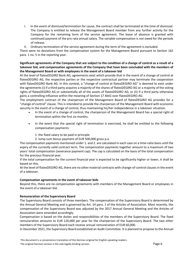- I. In the event of dismissal/termination for cause, the contract shall be terminated at the time of dismissal. The Company is entitled to release the Management Board member from any further activity for the Company for the remaining term of the service agreement. The leave of absence is granted with continued payment of the pro rata annual salary. The variable compensation is not owed for the periods of release.
- II. Ordinary termination of the service agreement during the term of the agreement is excluded.

There were no deviations from the compensation system for the Management Board pursuant to Section 162 para. 1 no. 5 in the reporting year.

### **Significant agreements of the Company that are subject to the condition of a change of control as a result of a takeover bid, and compensation agreements of the Company that have been concluded with the members of the Management Board or with employees in the event of a takeover bid**

At the level of flatexDEGIRO Bank AG, agreements exist which provide that in the event of a change of control at flatexDEGIRO AG, the respective parties or the respective contractual partner may terminate the cooperation with flatexDEGIRO Bank AG. In this context, a "change of control at flatexDEGIRO AG" is deemed to exist under the agreements (i) if a third party acquires a majority of the shares of flatexDEGIRO AG or a majority of the voting rights of flatexDEGIRO AG or substantially all of the assets of flatexDEGIRO AG, or (ii) if a third party otherwise gains a controlling influence within the meaning of Section 17 AktG over flatexDEGIRO AG.

The employment contract of the chairperson of the Management Board of flatexDEGIRO AG provides for a "change of control" clause. This is intended to provide the chairperson of the Management Board with economic security in the event of a change of control, thus maintaining his/her independence in a takeover situation.

- In the event of a change of control, the chairperson of the Management Board has a special right of termination within the first six months.
- In the event that the special right of termination is exercised, he shall be entitled to the following compensation payments:
	- 1. the fixed salary to be paid in principle
	- 2. lump-sum bonus payment of EUR 500,000 gross p.a.

The compensation payments mentioned under 1. and 2. are calculated in each case on a time-ratio basis until the expiry of the currently valid contract term. The compensation payments together amount to a maximum of two years' total compensation (severance payment cap). The cap is calculated on the basis of the total compensation for the precious financial year.

If the total compensation for the current financial year is expected to be significantly higher or lower, it shall be based on this.

At the level of flatexDEGIRO AG, there are no other material contracts with change-of-control clauses in the event of a takeover.

#### **Compensation agreements in the event of takeover bids**

Beyond this, there are no compensation agreements with members of the Management Board or employees in the event of a takeover bid.

#### **Remuneration of the Supervisory Board**

The Supervisory Board consists of three members. The compensation of the Supervisory Board is determined by the Annual General Meeting and is governed by Art. 14 para. 1 of the Articles of Association. Most recently, the compensation of the Supervisory Board was adjusted by the 2017 Annual General Meeting and the Articles of Association were amended accordingly.

Compensation is based on the duties and responsibilities of the members of the Supervisory Board. The fixed remuneration amounts to EUR 120,000 per year for the chairperson of the Supervisory Board. The two other members of the Supervisory Board each receive annual remuneration of EUR 60,000.

In December 2021, the Supervisory Board established an Audit Committee. It is planned to propose to the Annual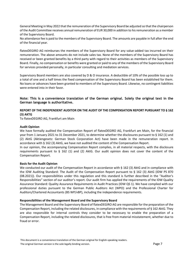General Meeting in May 2022 that the remuneration of the Supervisory Board be adjusted so that the chairperson of the Audit Committee receives annual remuneration of EUR 30,000 in addition to his remuneration as a member of the Supervisory Board.

No attendance fee is paid to the members of the Supervisory Board. The amounts are payable in full after the end of the financial year.

flatexDEGIRO AG reimburses the members of the Supervisory Board for any value-added tax incurred on their remuneration. The above amounts do not include sales tax. None of the members of the Supervisory Board has received or been granted benefits by a third party with regard to their activities as members of the Supervisory Board. Finally, no compensation or benefits were granted or paid to any of the members of the Supervisory Board for services provided personally, in particular consulting and mediation services.

Supervisory Board members are also covered by D & O insurance. A deductible of 10% of the possible loss up to a total of one and a half times the fixed compensation of the Supervisory Board has been established for them. No loans or advances have been granted to members of the Supervisory Board. Likewise, no contingent liabilities were entered into in their favor.

**Note: This is a convenience translation of the German original. Solely the original text in the German language is authoritative.**

## **REPORT OF THE INDEPENDENT AUDITOR ON THE AUDIT OF THE COMPENSATION REPORT PURSUANT TO § 162 (3) AKTG**

To flatexDEGIRO AG, Frankfurt am Main

#### **Audit Opinion**

We have formally audited the Compensation Report of flatexDEGIRO AG, Frankfurt am Main, for the financial year from 1 January 2021 to 31 December 2021, to determine whether the disclosures pursuant to § 162 (1) and (2) AktG (Aktiengesetz: German Stock Corporation Act) have been made in the remuneration report. In accordance with § 162 (3) AktG, we have not audited the content of the Compensation Report.

In our opinion, the accompanying Compensation Report complies, in all material respects, with the disclosure requirements pursuant to  $\S$  162 (1) and (2) AktG. Our audit opinion does not cover the content of the Compensation Report.

#### **Basis for the Audit Opinion**

We conducted our audit of the Compensation Report in accordance with § 162 (3) AktG and in compliance with the IDW Auditing Standard: The Audit of the Compensation Report pursuant to § 162 (3) AktG (IDW PS 870 (08.2021)). Our responsibilities under this regulation and this standard is further described in the "Auditor's Responsibilities" section of our auditor's report. Our audit firm has applied the requirements of the IDW Quality Assurance Standard: Quality Assurance Requirements in Audit Practices (IDW QS 1). We have complied with our professional duties pursuant to the German Public Auditors Act (WPO) and the Professional Charter for Auditors/Chartered Accountants (BS WP/vBP), including the independence requirements.

#### **Responsibilities of the Management Board and the Supervisory Board**

The Management Board and the Supervisory Board of flatexDEGIRO AG are responsible for the preparation of the Compensation Report, including the related disclosures, in compliance with the requirements of § 162 AktG. They are also responsible for internal controls they consider to be necessary to enable the preparation of a Compensation Report, including the related disclosures, that is free from material misstatement, whether due to fraud or error.